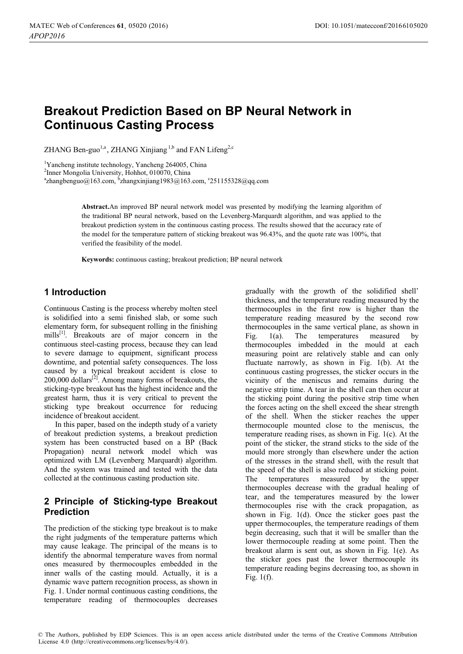# **Breakout Prediction Based on BP Neural Network in Continuous Casting Process**

ZHANG Ben-guo<sup>1,a</sup>, ZHANG Xinjiang<sup>1,b</sup> and FAN Lifeng<sup>2,c</sup>

<sup>1</sup>Yancheng institute technology, Yancheng 264005, China

2 Inner Mongolia University, Hohhot, 010070, China

 $a^2$ [zhangbenguo@163.com,](mailto:azhangbenguo@163.com)  $b^2$ [zhangxinjiang1983@163.com,](mailto:bzhangxinjiang1983@163.com) °251155328@qq.com

**Abstract.**An improved BP neural network model was presented by modifying the learning algorithm of the traditional BP neural network, based on the Levenberg-Marquardt algorithm, and was applied to the breakout prediction system in the continuous casting process. The results showed that the accuracy rate of the model for the temperature pattern of sticking breakout was 96.43%, and the quote rate was 100%, that verified the feasibility of the model.

**Keywords:** continuous casting; breakout prediction; BP neural network

# **1 Introduction**

Continuous Casting is the process whereby molten steel is solidified into a semi finished slab, or some such elementary form, for subsequent rolling in the finishing mills[1]. Breakouts are of major concern in the continuous steel-casting process, because they can lead to severe damage to equipment, significant process downtime, and potential safety consequences. The loss caused by a typical breakout accident is close to 200,000 dollars<sup>[2]</sup>. Among many forms of breakouts, the sticking-type breakout has the highest incidence and the greatest harm, thus it is very critical to prevent the sticking type breakout occurrence for reducing incidence of breakout accident.

In this paper, based on the indepth study of a variety of breakout prediction systems, a breakout prediction system has been constructed based on a BP (Back Propagation) neural network model which was optimized with LM (Levenberg Marquardt) algorithm. And the system was trained and tested with the data collected at the continuous casting production site.

# **2 Principle of Sticking-type Breakout Prediction**

The prediction of the sticking type breakout is to make the right judgments of the temperature patterns which may cause leakage. The principal of the means is to identify the abnormal temperature waves from normal ones measured by thermocouples embedded in the inner walls of the casting mould. Actually, it is a dynamic wave pattern recognition process, as shown in Fig. 1. Under normal continuous casting conditions, the temperature reading of thermocouples decreases gradually with the growth of the solidified shell' thickness, and the temperature reading measured by the thermocouples in the first row is higher than the temperature reading measured by the second row thermocouples in the same vertical plane, as shown in Fig. 1(a). The temperatures measured by thermocouples imbedded in the mould at each measuring point are relatively stable and can only fluctuate narrowly, as shown in Fig. 1(b). At the continuous casting progresses, the sticker occurs in the vicinity of the meniscus and remains during the negative strip time. A tear in the shell can then occur at the sticking point during the positive strip time when the forces acting on the shell exceed the shear strength of the shell. When the sticker reaches the upper thermocouple mounted close to the meniscus, the temperature reading rises, as shown in Fig. 1(c). At the point of the sticker, the strand sticks to the side of the mould more strongly than elsewhere under the action of the stresses in the strand shell, with the result that the speed of the shell is also reduced at sticking point. The temperatures measured by the upper thermocouples decrease with the gradual healing of tear, and the temperatures measured by the lower thermocouples rise with the crack propagation, as shown in Fig. 1(d). Once the sticker goes past the upper thermocouples, the temperature readings of them begin decreasing, such that it will be smaller than the lower thermocouple reading at some point. Then the breakout alarm is sent out, as shown in Fig. 1(e). As the sticker goes past the lower thermocouple its temperature reading begins decreasing too, as shown in Fig. 1(f).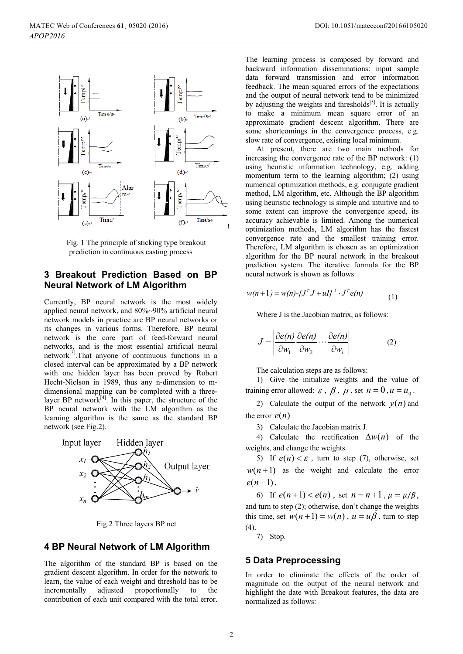

Fig. 1 The principle of sticking type breakout prediction in continuous casting process

# **3 Breakout Prediction Based on BP Neural Network of LM Algorithm**

Currently, BP neural network is the most widely applied neural network, and 80%~90% artificial neural network models in practice are BP neural networks or its changes in various forms. Therefore, BP neural network is the core part of feed-forward neural networks, and is the most essential artificial neural network[3].That anyone of continuous functions in a closed interval can be approximated by a BP network with one hidden layer has been proved by Robert Hecht-Nielson in 1989, thus any n-dimension to mdimensional mapping can be completed with a threelayer BP network<sup>[4]</sup>. In this paper, the structure of the BP neural network with the LM algorithm as the learning algorithm is the same as the standard BP network (see Fig.2).



Fig.2 Three layers BP net

# **4 BP Neural Network of LM Algorithm**

The algorithm of the standard BP is based on the gradient descent algorithm. In order for the network to learn, the value of each weight and threshold has to be incrementally adjusted proportionally to the contribution of each unit compared with the total error. The learning process is composed by forward and backward information disseminations: input sample data forward transmission and error information feedback. The mean squared errors of the expectations and the output of neural network tend to be minimized by adjusting the weights and thresholds<sup>[5]</sup>. It is actually to make a minimum mean square error of an approximate gradient descent algorithm. There are some shortcomings in the convergence process, e.g. slow rate of convergence, existing local minimum.

At present, there are two main methods for increasing the convergence rate of the BP network: (1) using heuristic information technology, e.g. adding momentum term to the learning algorithm; (2) using numerical optimization methods, e.g. conjugate gradient method, LM algorithm, etc. Although the BP algorithm using heuristic technology is simple and intuitive and to some extent can improve the convergence speed, its accuracy achievable is limited. Among the numerical optimization methods, LM algorithm has the fastest convergence rate and the smallest training error. Therefore, LM algorithm is chosen as an optimization algorithm for the BP neural network in the breakout prediction system. The iterative formula for the BP neural network is shown as follows:

$$
w(n+1) = w(n) - [JT J + uI]^{-1} \cdot JT e(n)
$$
 (1)

Where J is the Jacobian matrix, as follows:

$$
J = \left| \frac{\partial e(n)}{\partial w_1} \frac{\partial e(n)}{\partial w_2} \cdots \frac{\partial e(n)}{\partial w_i} \right| \tag{2}
$$

The calculation steps are as follows:

1) Give the initialize weights and the value of training error allowed:  $\varepsilon$ ,  $\beta$ ,  $\mu$ , set  $n = 0$ ,  $u = u_0$ .

2) Calculate the output of the network  $y(n)$  and the error  $e(n)$ .

3) Calculate the Jacobian matrix J.

4) Calculate the rectification  $\Delta w(n)$  of the weights, and change the weights.

5) If  $e(n) < \varepsilon$ , turn to step (7), otherwise, set  $w(n+1)$  as the weight and calculate the error  $e(n+1)$ .

6) If  $e(n+1) < e(n)$ , set  $n = n+1$ ,  $\mu = \mu/\beta$ , and turn to step (2); otherwise, don't change the weights this time, set  $w(n+1) = w(n)$ ,  $u = u\beta$ , turn to step (4).

7) Stop.

#### **5 Data Preprocessing**

In order to eliminate the effects of the order of magnitude on the output of the neural network and highlight the date with Breakout features, the data are normalized as follows: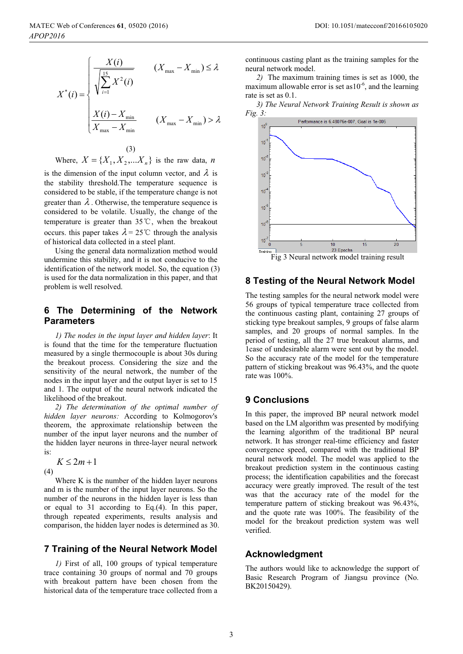$$
X^*(i) = \begin{cases} \frac{X(i)}{\sqrt{\sum_{i=1}^{15} X^2(i)}} & (X_{\text{max}} - X_{\text{min}}) \le \lambda\\ \frac{X(i) - X_{\text{min}}}{X_{\text{max}} - X_{\text{min}}} & (X_{\text{max}} - X_{\text{min}}) > \lambda \end{cases}
$$

(3) Where,  $X = \{X_1, X_2, \ldots, X_n\}$  is the raw data, *n* 

is the dimension of the input column vector, and  $\lambda$  is the stability threshold.The temperature sequence is considered to be stable, if the temperature change is not greater than  $\lambda$ . Otherwise, the temperature sequence is considered to be volatile. Usually, the change of the temperature is greater than  $35^{\circ}$ C, when the breakout occurs. this paper takes  $\lambda = 25^{\circ}$  through the analysis of historical data collected in a steel plant.

Using the general data normalization method would undermine this stability, and it is not conducive to the identification of the network model. So, the equation (3) is used for the data normalization in this paper, and that problem is well resolved.

### **6 The Determining of the Network Parameters**

*1) The nodes in the input layer and hidden layer*: It is found that the time for the temperature fluctuation measured by a single thermocouple is about 30s during the breakout process. Considering the size and the sensitivity of the neural network, the number of the nodes in the input layer and the output layer is set to 15 and 1. The output of the neural network indicated the likelihood of the breakout.

*2) The determination of the optimal number of hidden layer neurons:* According to Kolmogorov's theorem, the approximate relationship between the number of the input layer neurons and the number of the hidden layer neurons in three-layer neural network is:

 $K \le 2m + 1$ 

 $(4)$ 

Where K is the number of the hidden layer neurons and m is the number of the input layer neurons. So the number of the neurons in the hidden layer is less than or equal to 31 according to Eq.(4). In this paper, through repeated experiments, results analysis and comparison, the hidden layer nodes is determined as 30.

### **7 Training of the Neural Network Model**

*1)* First of all, 100 groups of typical temperature trace containing 30 groups of normal and 70 groups with breakout pattern have been chosen from the historical data of the temperature trace collected from a

continuous casting plant as the training samples for the neural network model.

*2)* The maximum training times is set as 1000, the maximum allowable error is set as  $10^{-6}$ , and the learning rate is set as 0.1.

*3) The Neural Network Training Result is shown as Fig. 3:* 



# **8 Testing of the Neural Network Model**

The testing samples for the neural network model were 56 groups of typical temperature trace collected from the continuous casting plant, containing 27 groups of sticking type breakout samples, 9 groups of false alarm samples, and 20 groups of normal samples. In the period of testing, all the 27 true breakout alarms, and 1case of undesirable alarm were sent out by the model. So the accuracy rate of the model for the temperature pattern of sticking breakout was 96.43%, and the quote rate was 100%.

## **9 Conclusions**

In this paper, the improved BP neural network model based on the LM algorithm was presented by modifying the learning algorithm of the traditional BP neural network. It has stronger real-time efficiency and faster convergence speed, compared with the traditional BP neural network model. The model was applied to the breakout prediction system in the continuous casting process; the identification capabilities and the forecast accuracy were greatly improved. The result of the test was that the accuracy rate of the model for the temperature pattern of sticking breakout was 96.43%, and the quote rate was 100%. The feasibility of the model for the breakout prediction system was well verified.

### **Acknowledgment**

The authors would like to acknowledge the support of Basic Research Program of Jiangsu province (No. BK20150429).